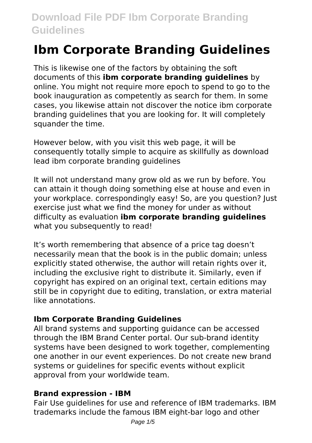# **Ibm Corporate Branding Guidelines**

This is likewise one of the factors by obtaining the soft documents of this **ibm corporate branding guidelines** by online. You might not require more epoch to spend to go to the book inauguration as competently as search for them. In some cases, you likewise attain not discover the notice ibm corporate branding guidelines that you are looking for. It will completely squander the time.

However below, with you visit this web page, it will be consequently totally simple to acquire as skillfully as download lead ibm corporate branding guidelines

It will not understand many grow old as we run by before. You can attain it though doing something else at house and even in your workplace. correspondingly easy! So, are you question? Just exercise just what we find the money for under as without difficulty as evaluation **ibm corporate branding guidelines** what you subsequently to read!

It's worth remembering that absence of a price tag doesn't necessarily mean that the book is in the public domain; unless explicitly stated otherwise, the author will retain rights over it. including the exclusive right to distribute it. Similarly, even if copyright has expired on an original text, certain editions may still be in copyright due to editing, translation, or extra material like annotations.

# **Ibm Corporate Branding Guidelines**

All brand systems and supporting guidance can be accessed through the IBM Brand Center portal. Our sub-brand identity systems have been designed to work together, complementing one another in our event experiences. Do not create new brand systems or guidelines for specific events without explicit approval from your worldwide team.

# **Brand expression - IBM**

Fair Use guidelines for use and reference of IBM trademarks. IBM trademarks include the famous IBM eight-bar logo and other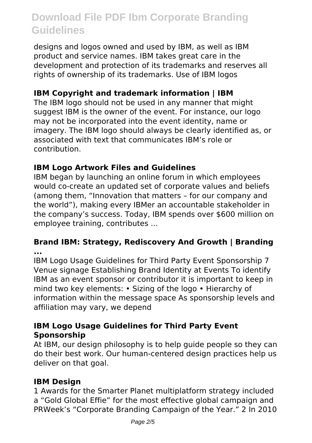designs and logos owned and used by IBM, as well as IBM product and service names. IBM takes great care in the development and protection of its trademarks and reserves all rights of ownership of its trademarks. Use of IBM logos

# **IBM Copyright and trademark information | IBM**

The IBM logo should not be used in any manner that might suggest IBM is the owner of the event. For instance, our logo may not be incorporated into the event identity, name or imagery. The IBM logo should always be clearly identified as, or associated with text that communicates IBM's role or contribution.

# **IBM Logo Artwork Files and Guidelines**

IBM began by launching an online forum in which employees would co-create an updated set of corporate values and beliefs (among them, "Innovation that matters – for our company and the world"), making every IBMer an accountable stakeholder in the company's success. Today, IBM spends over \$600 million on employee training, contributes ...

#### **Brand IBM: Strategy, Rediscovery And Growth | Branding ...**

IBM Logo Usage Guidelines for Third Party Event Sponsorship 7 Venue signage Establishing Brand Identity at Events To identify IBM as an event sponsor or contributor it is important to keep in mind two key elements: • Sizing of the logo • Hierarchy of information within the message space As sponsorship levels and affiliation may vary, we depend

# **IBM Logo Usage Guidelines for Third Party Event Sponsorship**

At IBM, our design philosophy is to help guide people so they can do their best work. Our human-centered design practices help us deliver on that goal.

#### **IBM Design**

1 Awards for the Smarter Planet multiplatform strategy included a "Gold Global Effie" for the most effective global campaign and PRWeek's "Corporate Branding Campaign of the Year." 2 In 2010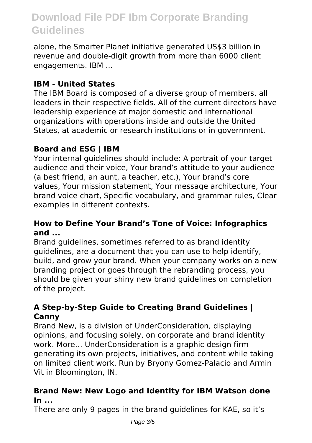alone, the Smarter Planet initiative generated US\$3 billion in revenue and double-digit growth from more than 6000 client engagements. IBM ...

# **IBM - United States**

The IBM Board is composed of a diverse group of members, all leaders in their respective fields. All of the current directors have leadership experience at major domestic and international organizations with operations inside and outside the United States, at academic or research institutions or in government.

# **Board and ESG | IBM**

Your internal guidelines should include: A portrait of your target audience and their voice, Your brand's attitude to your audience (a best friend, an aunt, a teacher, etc.), Your brand's core values, Your mission statement, Your message architecture, Your brand voice chart, Specific vocabulary, and grammar rules, Clear examples in different contexts.

#### **How to Define Your Brand's Tone of Voice: Infographics and ...**

Brand guidelines, sometimes referred to as brand identity guidelines, are a document that you can use to help identify, build, and grow your brand. When your company works on a new branding project or goes through the rebranding process, you should be given your shiny new brand guidelines on completion of the project.

# **A Step-by-Step Guide to Creating Brand Guidelines | Canny**

Brand New, is a division of UnderConsideration, displaying opinions, and focusing solely, on corporate and brand identity work. More… UnderConsideration is a graphic design firm generating its own projects, initiatives, and content while taking on limited client work. Run by Bryony Gomez-Palacio and Armin Vit in Bloomington, IN.

# **Brand New: New Logo and Identity for IBM Watson done In ...**

There are only 9 pages in the brand guidelines for KAE, so it's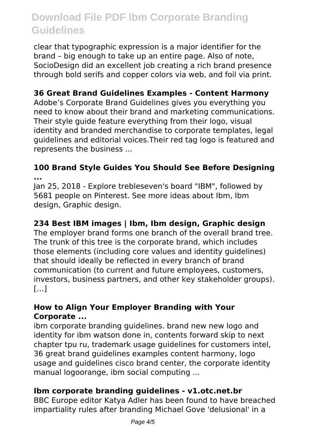clear that typographic expression is a major identifier for the brand – big enough to take up an entire page. Also of note, SocioDesign did an excellent job creating a rich brand presence through bold serifs and copper colors via web, and foil via print.

# **36 Great Brand Guidelines Examples - Content Harmony**

Adobe's Corporate Brand Guidelines gives you everything you need to know about their brand and marketing communications. Their style guide feature everything from their logo, visual identity and branded merchandise to corporate templates, legal guidelines and editorial voices.Their red tag logo is featured and represents the business ...

#### **100 Brand Style Guides You Should See Before Designing ...**

Jan 25, 2018 - Explore trebleseven's board "IBM", followed by 5681 people on Pinterest. See more ideas about Ibm, Ibm design, Graphic design.

# **234 Best IBM images | Ibm, Ibm design, Graphic design**

The employer brand forms one branch of the overall brand tree. The trunk of this tree is the corporate brand, which includes those elements (including core values and identity guidelines) that should ideally be reflected in every branch of brand communication (to current and future employees, customers, investors, business partners, and other key stakeholder groups).  $[...]$ 

#### **How to Align Your Employer Branding with Your Corporate ...**

ibm corporate branding guidelines. brand new new logo and identity for ibm watson done in, contents forward skip to next chapter tpu ru, trademark usage guidelines for customers intel, 36 great brand guidelines examples content harmony, logo usage and guidelines cisco brand center, the corporate identity manual logoorange, ibm social computing ...

#### **Ibm corporate branding guidelines - v1.otc.net.br**

BBC Europe editor Katya Adler has been found to have breached impartiality rules after branding Michael Gove 'delusional' in a